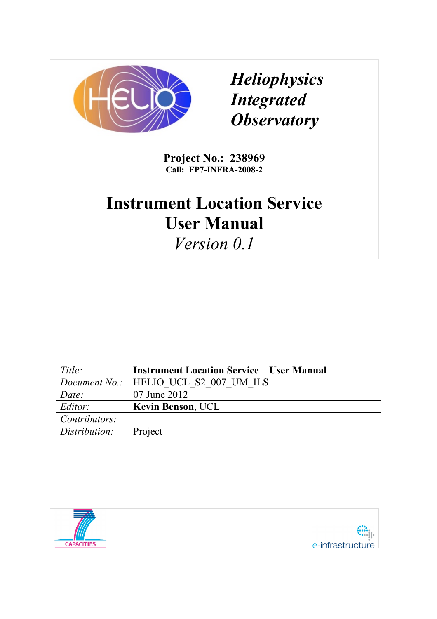

*Heliophysics Integrated Observatory*

**Project No.: 238969 Call: FP7-INFRA-2008-2**

# **Instrument Location Service User Manual**

*Version 0.1*

| Title:        | <b>Instrument Location Service – User Manual</b> |
|---------------|--------------------------------------------------|
|               | Document No.:   HELIO UCL S2 007 UM ILS          |
| Date:         | 07 June 2012                                     |
| Editor:       | <b>Kevin Benson, UCL</b>                         |
| Contributors: |                                                  |
| Distribution: | Project                                          |

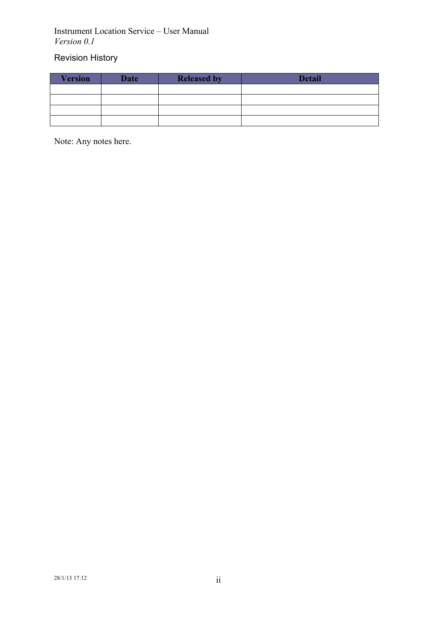# Revision History

| <b>Version</b> | <b>Date</b> | <b>Released by</b> | <b>Detail</b> |
|----------------|-------------|--------------------|---------------|
|                |             |                    |               |
|                |             |                    |               |
|                |             |                    |               |
|                |             |                    |               |

Note: Any notes here.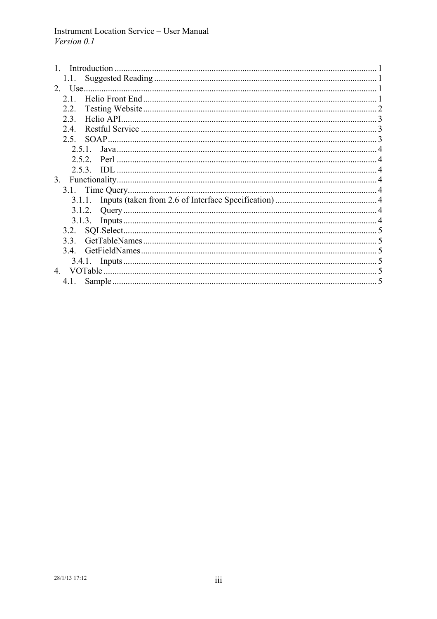| 1.1. . |  |
|--------|--|
|        |  |
| 21     |  |
| 2.2.   |  |
| 23     |  |
| 2.4    |  |
| 2.5    |  |
| 2.5.1  |  |
|        |  |
|        |  |
| 3.     |  |
|        |  |
|        |  |
|        |  |
|        |  |
| 3.2.   |  |
| 33     |  |
| 34     |  |
|        |  |
| 4      |  |
| 4.1.   |  |
|        |  |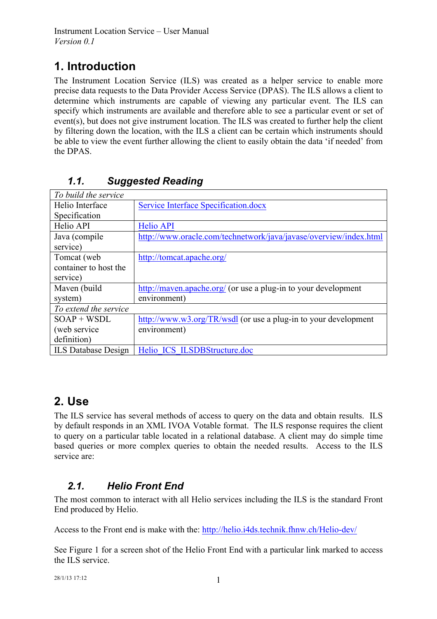# **1. Introduction**

The Instrument Location Service (ILS) was created as a helper service to enable more precise data requests to the Data Provider Access Service (DPAS). The ILS allows a client to determine which instruments are capable of viewing any particular event. The ILS can specify which instruments are available and therefore able to see a particular event or set of event(s), but does not give instrument location. The ILS was created to further help the client by filtering down the location, with the ILS a client can be certain which instruments should be able to view the event further allowing the client to easily obtain the data 'if needed' from the DPAS.

| To build the service       |                                                                   |
|----------------------------|-------------------------------------------------------------------|
| Helio Interface            | <b>Service Interface Specification.docx</b>                       |
| Specification              |                                                                   |
| Helio API                  | <b>Helio API</b>                                                  |
| Java (compile              | http://www.oracle.com/technetwork/java/javase/overview/index.html |
| service)                   |                                                                   |
| Tomcat (web                | http://tomcat.apache.org/                                         |
| container to host the      |                                                                   |
| service)                   |                                                                   |
| Maven (build               | http://maven.apache.org/ (or use a plug-in to your development    |
| system)                    | environment)                                                      |
| To extend the service      |                                                                   |
| $SOAP + WSDL$              | http://www.w3.org/TR/wsdl (or use a plug-in to your development   |
| (web service)              | environment)                                                      |
| definition)                |                                                                   |
| <b>ILS</b> Database Design | Helio ICS ILSDBStructure.doc                                      |

# *1.1. Suggested Reading*

# **2. Use**

The ILS service has several methods of access to query on the data and obtain results. ILS by default responds in an XML IVOA Votable format. The ILS response requires the client to query on a particular table located in a relational database. A client may do simple time based queries or more complex queries to obtain the needed results. Access to the ILS service are:

# *2.1. Helio Front End*

The most common to interact with all Helio services including the ILS is the standard Front End produced by Helio.

Access to the Front end is make with the: http://helio.i4ds.technik.fhnw.ch/Helio-dev/

See Figure 1 for a screen shot of the Helio Front End with a particular link marked to access the ILS service.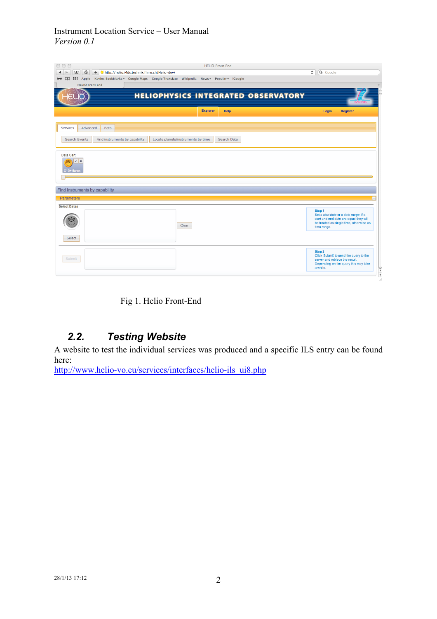| 000<br><b>HELIO Front End</b><br>+ ttp://helio.i4ds.technik.fhnw.ch/Helio-dev/<br>$\hat{u}$<br>F<br>◀<br>$\triangleright$<br>Apple Kevins BookMarks v Google Maps Google Translate Wikipedia News v Popular v iGoogle<br><u>കേ നാ</u><br><b>All </b><br><b>HELIO Front End</b> | Q <sup>v</sup> Google<br>$\circ$                                                                                                                          |
|--------------------------------------------------------------------------------------------------------------------------------------------------------------------------------------------------------------------------------------------------------------------------------|-----------------------------------------------------------------------------------------------------------------------------------------------------------|
| <b>HELIOPHYSICS INTEGRATED OBSERVATORY</b>                                                                                                                                                                                                                                     |                                                                                                                                                           |
| <b>Explorer</b><br><b>Help</b>                                                                                                                                                                                                                                                 | Login<br><b>Register</b>                                                                                                                                  |
| Advanced<br><b>Services</b><br>Beta<br>Search Events<br>Find instruments by capability<br>Locate planets/instruments by time<br>Search Data                                                                                                                                    |                                                                                                                                                           |
| Data Cart<br>$\mathcal{L}$ x<br>Ġ<br>X10+ flares                                                                                                                                                                                                                               |                                                                                                                                                           |
| Find instruments by capability                                                                                                                                                                                                                                                 |                                                                                                                                                           |
| <b>Parameters</b><br><b>Select Dates</b>                                                                                                                                                                                                                                       | E                                                                                                                                                         |
| Clear                                                                                                                                                                                                                                                                          | Step 1<br>Set a start date or a date range. If a<br>start and end date are equal they will<br>be treated as single time, otherwise as<br>time range.      |
| Select<br>Submit                                                                                                                                                                                                                                                               | Step 2<br>Click 'Submit' to send the query to the<br>server and retrieve the result.<br>Depending on the query this may take<br>a while.<br>$\frac{1}{4}$ |

Fig 1. Helio Front-End

# *2.2. Testing Website*

A website to test the individual services was produced and a specific ILS entry can be found here:

http://www.helio-vo.eu/services/interfaces/helio-ils\_ui8.php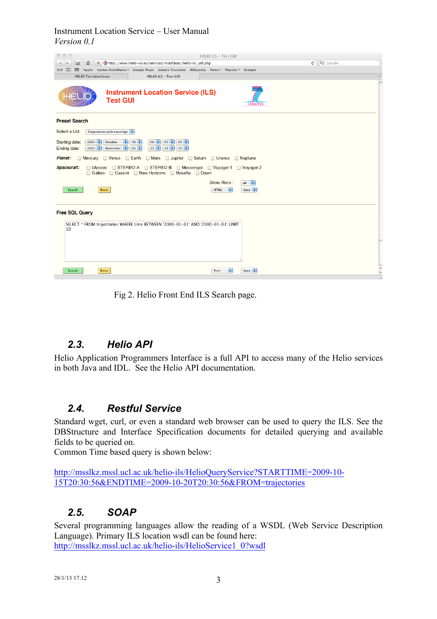

Fig 2. Helio Front End ILS Search page.

## *2.3. Helio API*

Helio Application Programmers Interface is a full API to access many of the Helio services in both Java and IDL. See the Helio API documentation.

### *2.4. Restful Service*

Standard wget, curl, or even a standard web browser can be used to query the ILS. See the DBStructure and Interface Specification documents for detailed querying and available fields to be queried on.

Common Time based query is shown below:

http://msslkz.mssl.ucl.ac.uk/helio-ils/HelioQueryService?STARTTIME=2009-10- 15T20:30:56&ENDTIME=2009-10-20T20:30:56&FROM=trajectories

### *2.5. SOAP*

Several programming languages allow the reading of a WSDL (Web Service Description Language). Primary ILS location wsdl can be found here: http://msslkz.mssl.ucl.ac.uk/helio-ils/HelioService1\_0?wsdl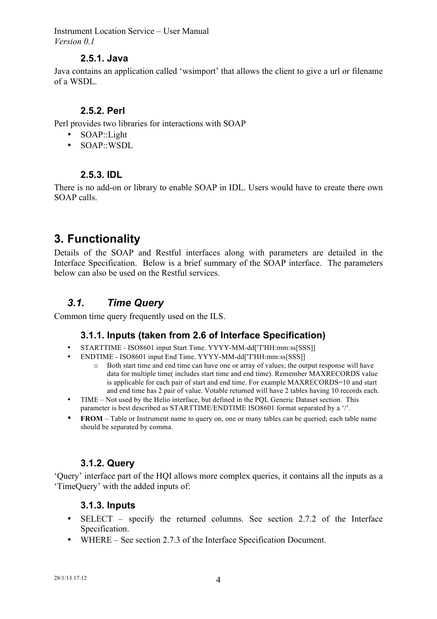#### **2.5.1. Java**

Java contains an application called 'wsimport' that allows the client to give a url or filename of a WSDL.

#### **2.5.2. Perl**

Perl provides two libraries for interactions with SOAP

- SOAP::Light
- SOAP::WSDL

#### **2.5.3. IDL**

There is no add-on or library to enable SOAP in IDL. Users would have to create there own SOAP calls.

# **3. Functionality**

Details of the SOAP and Restful interfaces along with parameters are detailed in the Interface Specification. Below is a brief summary of the SOAP interface. The parameters below can also be used on the Restful services.

### *3.1. Time Query*

Common time query frequently used on the ILS.

### **3.1.1. Inputs (taken from 2.6 of Interface Specification)**

- STARTTIME ISO8601 input Start Time. YYYY-MM-dd['T'HH:mm:ss[SSS]]
	- ENDTIME ISO8601 input End Time. YYYY-MM-dd['T'HH:mm:ss[SSS]]
		- o Both start time and end time can have one or array of values; the output response will have data for multiple time( includes start time and end time). Remember MAXRECORDS value is applicable for each pair of start and end time. For example MAXRECORDS=10 and start and end time has 2 pair of value. Votable returned will have 2 tables having 10 records each.
- TIME Not used by the Helio interface, but defined in the POL Generic Dataset section. This parameter is best described as STARTTIME/ENDTIME ISO8601 format separated by a '/'.
- **FROM** Table or Instrument name to query on, one or many tables can be queried; each table name should be separated by comma.

#### **3.1.2. Query**

'Query' interface part of the HQI allows more complex queries, it contains all the inputs as a 'TimeQuery' with the added inputs of:

#### **3.1.3. Inputs**

- SELECT specify the returned columns. See section 2.7.2 of the Interface Specification.
- WHERE See section 2.7.3 of the Interface Specification Document.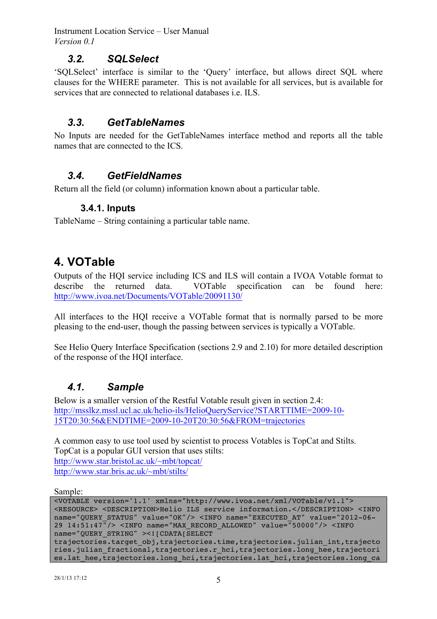### *3.2. SQLSelect*

'SQLSelect' interface is similar to the 'Query' interface, but allows direct SQL where clauses for the WHERE parameter. This is not available for all services, but is available for services that are connected to relational databases i.e. ILS.

### *3.3. GetTableNames*

No Inputs are needed for the GetTableNames interface method and reports all the table names that are connected to the ICS.

### *3.4. GetFieldNames*

Return all the field (or column) information known about a particular table.

#### **3.4.1. Inputs**

TableName – String containing a particular table name.

# **4. VOTable**

Outputs of the HQI service including ICS and ILS will contain a IVOA Votable format to describe the returned data. VOTable specification can be found here: http://www.ivoa.net/Documents/VOTable/20091130/

All interfaces to the HQI receive a VOTable format that is normally parsed to be more pleasing to the end-user, though the passing between services is typically a VOTable.

See Helio Query Interface Specification (sections 2.9 and 2.10) for more detailed description of the response of the HQI interface.

### *4.1. Sample*

Below is a smaller version of the Restful Votable result given in section 2.4: http://msslkz.mssl.ucl.ac.uk/helio-ils/HelioQueryService?STARTTIME=2009-10- 15T20:30:56&ENDTIME=2009-10-20T20:30:56&FROM=trajectories

A common easy to use tool used by scientist to process Votables is TopCat and Stilts. TopCat is a popular GUI version that uses stilts: http://www.star.bristol.ac.uk/~mbt/topcat/ http://www.star.bris.ac.uk/~mbt/stilts/

Sample:

| <votable version="1.1" xmlns="http://www.ivoa.net/xml/VOTable/v1.1"></votable>                                                                                                                                      |  |  |
|---------------------------------------------------------------------------------------------------------------------------------------------------------------------------------------------------------------------|--|--|
| <resource> <description>Helio ILS service information.</description> <info< td=""></info<></resource>                                                                                                               |  |  |
| name="QUERY STATUS" value="OK"/> <info name="EXECUTED AT" value="2012-06-&lt;/td&gt;&lt;/tr&gt;&lt;tr&gt;&lt;td&gt;29 14:51:47"></info> <info name="MAX RECORD ALLOWED" value="50000"></info> <info< td=""></info<> |  |  |
| name="QUERY STRING" > [CDATA [SELECT</td                                                                                                                                                                            |  |  |
| trajectories.target obj,trajectories.time,trajectories.julian int,trajecto                                                                                                                                          |  |  |
| ries.julian fractional, trajectories.r hci, trajectories.long hee, trajectori                                                                                                                                       |  |  |
| es.lat hee, trajectories.long hci, trajectories.lat hci, trajectories.long ca                                                                                                                                       |  |  |